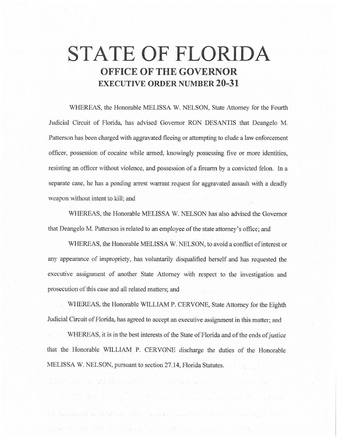# **STATE OF FLORIDA OFFICE OF THE GOVERNOR EXECUTIVE ORDER NUMBER 20-31**

WHEREAS, the Honorable MELISSA W. NELSON, State Attorney for the Fourth Judicial Circuit of Florida, has advised Governor RON DESANTIS that Deangelo M. Patterson has been charged with aggravated fleeing or attempting to elude a law enforcement officer, possession of cocaine while armed, knowingly possessing five or more identities, resisting an officer without violence, and possession of a firearm by a convicted felon. In a separate case, he has a pending arrest warrant request for aggravated assault with a deadly weapon without intent to kill; and

WHEREAS, the Honorable MELISSA W. NELSON has also advised the Governor that Deangelo M. Patterson is related to an employee of the state attorney's office; and

WHEREAS, the Honorable MELISSA W. NELSON, to avoid a conflict of interest or any appearance of impropriety, has voluntarily disqualified herself and has requested the executive assignment of another State Attorney with respect to the investigation and prosecution of this case and all related matters; and

WHEREAS, the Honorable WILLIAM P. CERVONE, State Attorney for the Eighth Judicial Circuit of Florida, has agreed to accept an executive assignment in this matter; and

WHEREAS, it is in the best interests of the State of Florida and of the ends of justice that the Honorable WILUAM P. CERVONE discharge the duties of the Honorable MELISSA W. NELSON, pursuant to section 27.14, Florida Statutes.

which are the structure of the state of the second planet in the state of the state of the state of the state of the state of the state of the state of the state of the state of the state of the state of the state of the s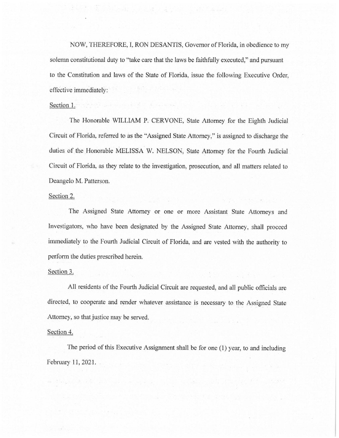NOW, THEREFORE, I, RON DESANTIS, Governor of Florida, in obedience to my solemn constitutional duty to "take care that the laws be faithfully executed," and pursuant to the Constitution and laws of the State of Florida, issue the following Executive Order, effective immediately:

#### Section 1. **Section 1. Section** 1. **Section** 1. **Section** 1. **Section** 1. **Section** 1. **Section** 1. **Section** 1. **Section** 1. **Section** 1. **Section** 1. **Section** 1. **Section** 1. **Section** 1. **Section** 1. **Section** 1. **Se**

The Honorable WILLIAM P. CERVONE, State Attorney for the Eighth Judicial Circuit of Florida, referred to as the "Assigned State Attorney," is assigned to discharge the duties of the Honorable MELISSA W. NELSON, State Attorney for the Fourth Judicial Circuit of Florida, as they relate to the investigation, prosecution, and all matters related to Deangelo M. Patterson.

#### Section 2.

The Assigned State Attorney or one or more Assistant State Attorneys and Investigators, who have been designated by the Assigned State Attorney, shall proceed immediately to the Fourth Judicial Circuit of Florida, and are vested with the authority to perform the duties prescribed herein.

### Section 3.

All residents of the Fourth Judicial Circuit are requested, and all public officials are directed, to cooperate and render whatever assistance is necessary to the Assigned State Attorney, so that justice may be served.

## Section 4.

The period of this Executive Assignment shall be for one (1) year, to and including February 11, 2021.